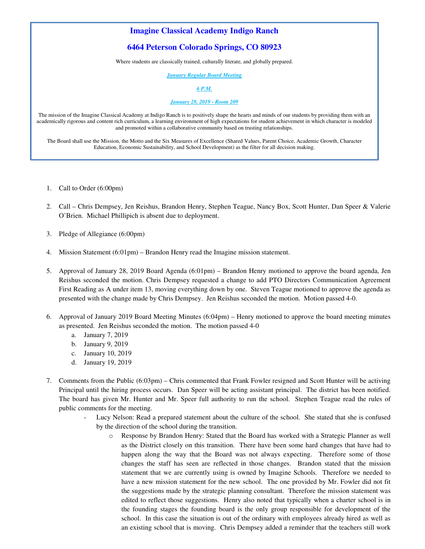# **Imagine Classical Academy Indigo Ranch**

## **6464 Peterson Colorado Springs, CO 80923**

Where students are classically trained, culturally literate, and globally prepared.

*January Regular Board Meeting* 

*6 P.M.*

*January 28, 2019 - Room 209*

The mission of the Imagine Classical Academy at Indigo Ranch is to positively shape the hearts and minds of our students by providing them with an academically rigorous and content rich curriculum, a learning environment of high expectations for student achievement in which character is modeled and promoted within a collaborative community based on trusting relationships.

The Board shall use the Mission, the Motto and the Six Measures of Excellence (Shared Values, Parent Choice, Academic Growth, Character Education, Economic Sustainability, and School Development) as the filter for all decision making.

- 1. Call to Order (6:00pm)
- 2. Call Chris Dempsey, Jen Reishus, Brandon Henry, Stephen Teague, Nancy Box, Scott Hunter, Dan Speer & Valerie O'Brien. Michael Phillipich is absent due to deployment.
- 3. Pledge of Allegiance (6:00pm)
- 4. Mission Statement (6:01pm) Brandon Henry read the Imagine mission statement.
- 5. Approval of January 28, 2019 Board Agenda (6:01pm) Brandon Henry motioned to approve the board agenda, Jen Reishus seconded the motion. Chris Dempsey requested a change to add PTO Directors Communication Agreement First Reading as A under item 13, moving everything down by one. Steven Teague motioned to approve the agenda as presented with the change made by Chris Dempsey. Jen Reishus seconded the motion. Motion passed 4-0.
- 6. Approval of January 2019 Board Meeting Minutes (6:04pm) Henry motioned to approve the board meeting minutes as presented. Jen Reishus seconded the motion. The motion passed 4-0
	- a. January 7, 2019
	- b. January 9, 2019
	- c. January 10, 2019
	- d. January 19, 2019
- 7. Comments from the Public (6:03pm) Chris commented that Frank Fowler resigned and Scott Hunter will be activing Principal until the hiring process occurs. Dan Speer will be acting assistant principal. The district has been notified. The board has given Mr. Hunter and Mr. Speer full authority to run the school. Stephen Teague read the rules of public comments for the meeting.
	- Lucy Nelson: Read a prepared statement about the culture of the school. She stated that she is confused by the direction of the school during the transition.
		- o Response by Brandon Henry: Stated that the Board has worked with a Strategic Planner as well as the District closely on this transition. There have been some hard changes that have had to happen along the way that the Board was not always expecting. Therefore some of those changes the staff has seen are reflected in those changes. Brandon stated that the mission statement that we are currently using is owned by Imagine Schools. Therefore we needed to have a new mission statement for the new school. The one provided by Mr. Fowler did not fit the suggestions made by the strategic planning consultant. Therefore the mission statement was edited to reflect those suggestions. Henry also noted that typically when a charter school is in the founding stages the founding board is the only group responsible for development of the school. In this case the situation is out of the ordinary with employees already hired as well as an existing school that is moving. Chris Dempsey added a reminder that the teachers still work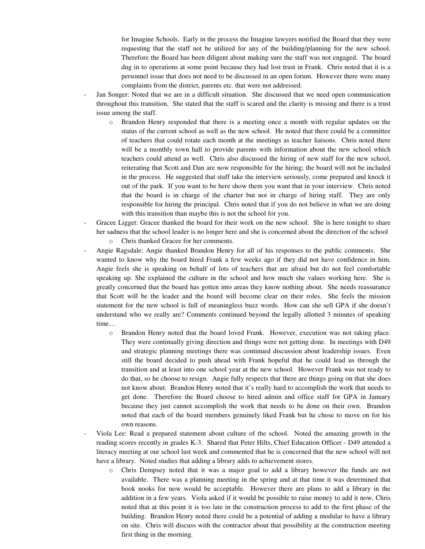for Imagine Schools. Early in the process the Imagine lawyers notified the Board that they were requesting that the staff not be utilized for any of the building/planning for the new school. Therefore the Board has been diligent about making sure the staff was not engaged. The board dug in to operations at some point because they had lost trust in Frank. Chris noted that it is a personnel issue that does not need to be discussed in an open forum. However there were many complaints from the district, parents etc. that were not addressed.

- Jan Songer: Noted that we are in a difficult situation. She discussed that we need open communication throughout this transition. She stated that the staff is scared and the clarity is missing and there is a trust issue among the staff.
	- o Brandon Henry responded that there is a meeting once a month with regular updates on the status of the current school as well as the new school. He noted that there could be a committee of teachers that could rotate each month at the meetings as teacher liaisons. Chris noted there will be a monthly town hall to provide parents with information about the new school which teachers could attend as well. Chris also discussed the hiring of new staff for the new school, reiterating that Scott and Dan are now responsible for the hiring; the board will not be included in the process. He suggested that staff take the interview seriously, come prepared and knock it out of the park. If you want to be here show them you want that in your interview. Chris noted that the board is in charge of the charter but not in charge of hiring staff. They are only responsible for hiring the principal. Chris noted that if you do not believe in what we are doing with this transition than maybe this is not the school for you.
- Gracee Ligget: Gracee thanked the board for their work on the new school. She is here tonight to share her sadness that the school leader is no longer here and she is concerned about the direction of the school
	- Chris thanked Gracee for her comments.
- Angie Ragsdale: Angie thanked Brandon Henry for all of his responses to the public comments. She wanted to know why the board hired Frank a few weeks ago if they did not have confidence in him. Angie feels she is speaking on behalf of lots of teachers that are afraid but do not feel comfortable speaking up. She explained the culture in the school and how much she values working here. She is greatly concerned that the board has gotten into areas they know nothing about. She needs reassurance that Scott will be the leader and the board will become clear on their roles. She feels the mission statement for the new school is full of meaningless buzz words. How can she sell GPA if she doesn't understand who we really are? Comments continued beyond the legally allotted 3 minutes of speaking time…
	- o Brandon Henry noted that the board loved Frank. However, execution was not taking place. They were continually giving direction and things were not getting done. In meetings with D49 and strategic planning meetings there was continued discussion about leadership issues. Even still the board decided to push ahead with Frank hopeful that he could lead us through the transition and at least into one school year at the new school. However Frank was not ready to do that, so he choose to resign. Angie fully respects that there are things going on that she does not know about. Brandon Henry noted that it's really hard to accomplish the work that needs to get done. Therefore the Board choose to hired admin and office staff for GPA in January because they just cannot accomplish the work that needs to be done on their own. Brandon noted that each of the board members genuinely liked Frank but he chose to move on for his own reasons.
- Viola Lee: Read a prepared statement about culture of the school. Noted the amazing growth in the reading scores recently in grades K-3. Shared that Peter Hilts, Chief Education Officer - D49 attended a literacy meeting at our school last week and commented that he is concerned that the new school will not have a library. Noted studies that adding a library adds to achievement stores.
	- o Chris Dempsey noted that it was a major goal to add a library however the funds are not available. There was a planning meeting in the spring and at that time it was determined that book nooks for now would be acceptable. However there are plans to add a library in the addition in a few years. Viola asked if it would be possible to raise money to add it now, Chris noted that at this point it is too late in the construction process to add to the first phase of the building. Brandon Henry noted there could be a potential of adding a modular to have a library on site. Chris will discuss with the contractor about that possibility at the construction meeting first thing in the morning.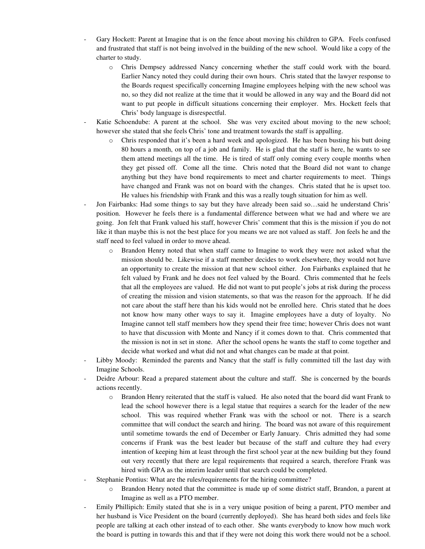- Gary Hockett: Parent at Imagine that is on the fence about moving his children to GPA. Feels confused and frustrated that staff is not being involved in the building of the new school. Would like a copy of the charter to study.
	- o Chris Dempsey addressed Nancy concerning whether the staff could work with the board. Earlier Nancy noted they could during their own hours. Chris stated that the lawyer response to the Boards request specifically concerning Imagine employees helping with the new school was no, so they did not realize at the time that it would be allowed in any way and the Board did not want to put people in difficult situations concerning their employer. Mrs. Hockett feels that Chris' body language is disrespectful.
- Katie Schoendube: A parent at the school. She was very excited about moving to the new school; however she stated that she feels Chris' tone and treatment towards the staff is appalling.
	- o Chris responded that it's been a hard week and apologized. He has been busting his butt doing 80 hours a month, on top of a job and family. He is glad that the staff is here, he wants to see them attend meetings all the time. He is tired of staff only coming every couple months when they get pissed off. Come all the time. Chris noted that the Board did not want to change anything but they have bond requirements to meet and charter requirements to meet. Things have changed and Frank was not on board with the changes. Chris stated that he is upset too. He values his friendship with Frank and this was a really tough situation for him as well.
- Jon Fairbanks: Had some things to say but they have already been said so...said he understand Chris' position. However he feels there is a fundamental difference between what we had and where we are going. Jon felt that Frank valued his staff, however Chris' comment that this is the mission if you do not like it than maybe this is not the best place for you means we are not valued as staff. Jon feels he and the staff need to feel valued in order to move ahead.
	- o Brandon Henry noted that when staff came to Imagine to work they were not asked what the mission should be. Likewise if a staff member decides to work elsewhere, they would not have an opportunity to create the mission at that new school either. Jon Fairbanks explained that he felt valued by Frank and he does not feel valued by the Board. Chris commented that he feels that all the employees are valued. He did not want to put people's jobs at risk during the process of creating the mission and vision statements, so that was the reason for the approach. If he did not care about the staff here than his kids would not be enrolled here. Chris stated that he does not know how many other ways to say it. Imagine employees have a duty of loyalty. No Imagine cannot tell staff members how they spend their free time; however Chris does not want to have that discussion with Monte and Nancy if it comes down to that. Chris commented that the mission is not in set in stone. After the school opens he wants the staff to come together and decide what worked and what did not and what changes can be made at that point.
- Libby Moody: Reminded the parents and Nancy that the staff is fully committed till the last day with Imagine Schools.
- Deidre Arbour: Read a prepared statement about the culture and staff. She is concerned by the boards actions recently.
	- o Brandon Henry reiterated that the staff is valued. He also noted that the board did want Frank to lead the school however there is a legal statue that requires a search for the leader of the new school. This was required whether Frank was with the school or not. There is a search committee that will conduct the search and hiring. The board was not aware of this requirement until sometime towards the end of December or Early January. Chris admitted they had some concerns if Frank was the best leader but because of the staff and culture they had every intention of keeping him at least through the first school year at the new building but they found out very recently that there are legal requirements that required a search, therefore Frank was hired with GPA as the interim leader until that search could be completed.
- Stephanie Pontius: What are the rules/requirements for the hiring committee?
	- Brandon Henry noted that the committee is made up of some district staff, Brandon, a parent at Imagine as well as a PTO member.
- Emily Phillipich: Emily stated that she is in a very unique position of being a parent, PTO member and her husband is Vice President on the board (currently deployed). She has heard both sides and feels like people are talking at each other instead of to each other. She wants everybody to know how much work the board is putting in towards this and that if they were not doing this work there would not be a school.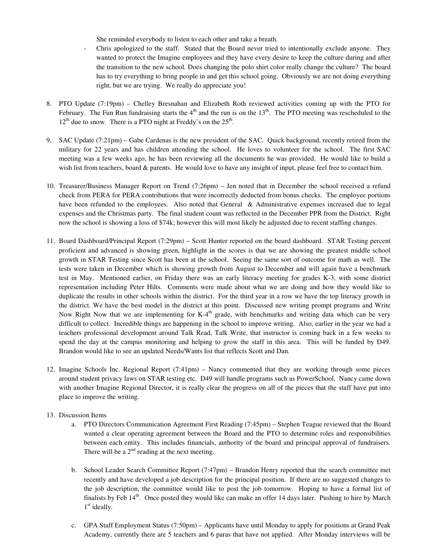She reminded everybody to listen to each other and take a breath.

- Chris apologized to the staff. Stated that the Board never tried to intentionally exclude anyone. They wanted to protect the Imagine employees and they have every desire to keep the culture during and after the transition to the new school. Does changing the polo shirt color really change the culture? The board has to try everything to bring people in and get this school going. Obviously we are not doing everything right, but we are trying. We really do appreciate you!
- 8. PTO Update (7:19pm) Chelley Bresnahan and Elizabeth Roth reviewed activities coming up with the PTO for February. The Fun Run fundraising starts the 4<sup>th</sup> and the run is on the  $13<sup>th</sup>$ . The PTO meeting was rescheduled to the  $12<sup>th</sup>$  due to snow. There is a PTO night at Freddy's on the  $25<sup>th</sup>$ .
- 9. SAC Update (7:21pm) Gabe Cardenas is the new president of the SAC. Quick background, recently retired from the military for 22 years and has children attending the school. He loves to volunteer for the school. The first SAC meeting was a few weeks ago, he has been reviewing all the documents he was provided. He would like to build a wish list from teachers, board & parents. He would love to have any insight of input, please feel free to contact him.
- 10. Treasurer/Business Manager Report on Trend (7:26pm) Jen noted that in December the school received a refund check from PERA for PERA contributions that were incorrectly deducted from bonus checks. The employee portions have been refunded to the employees. Also noted that General & Administrative expenses increased due to legal expenses and the Christmas party. The final student count was reflected in the December PPR from the District. Right now the school is showing a loss of \$74k; however this will most likely be adjusted due to recent staffing changes.
- 11. Board Dashboard/Principal Report (7:29pm) Scott Hunter reported on the board dashboard. STAR Testing percent proficient and advanced is showing green, highlight in the scores is that we are showing the greatest middle school growth in STAR Testing since Scott has been at the school. Seeing the same sort of outcome for math as well. The tests were taken in December which is showing growth from August to December and will again have a benchmark test in May. Mentioned earlier, on Friday there was an early literacy meeting for grades K-3, with some district representation including Peter Hilts. Comments were made about what we are doing and how they would like to duplicate the results in other schools within the district. For the third year in a row we have the top literacy growth in the district. We have the best model in the district at this point. Discussed new writing prompt programs and Write Now Right Now that we are implementing for  $K-4<sup>th</sup>$  grade, with benchmarks and writing data which can be very difficult to collect. Incredible things are happening in the school to improve writing. Also, earlier in the year we had a teachers professional development around Talk Read, Talk Write, that instructor is coming back in a few weeks to spend the day at the campus monitoring and helping to grow the staff in this area. This will be funded by D49. Brandon would like to see an updated Needs/Wants list that reflects Scott and Dan.
- 12. Imagine Schools Inc. Regional Report (7:41pm) Nancy commented that they are working through some pieces around student privacy laws on STAR testing etc. D49 will handle programs such as PowerSchool. Nancy came down with another Imagine Regional Director, it is really clear the progress on all of the pieces that the staff have put into place to improve the writing.
- 13. Discussion Items
	- a. PTO Directors Communication Agreement First Reading (7:45pm) Stephen Teague reviewed that the Board wanted a clear operating agreement between the Board and the PTO to determine roles and responsibilities between each entity. This includes financials, authority of the board and principal approval of fundraisers. There will be a  $2<sup>nd</sup>$  reading at the next meeting.
	- b. School Leader Search Committee Report (7:47pm) Brandon Henry reported that the search committee met recently and have developed a job description for the principal position. If there are no suggested changes to the job description, the committee would like to post the job tomorrow. Hoping to have a formal list of finalists by Feb  $14<sup>th</sup>$ . Once posted they would like can make an offer 14 days later. Pushing to hire by March 1<sup>st</sup> ideally.
	- c. GPA Staff Employment Status (7:50pm) Applicants have until Monday to apply for positions at Grand Peak Academy, currently there are 5 teachers and 6 paras that have not applied. After Monday interviews will be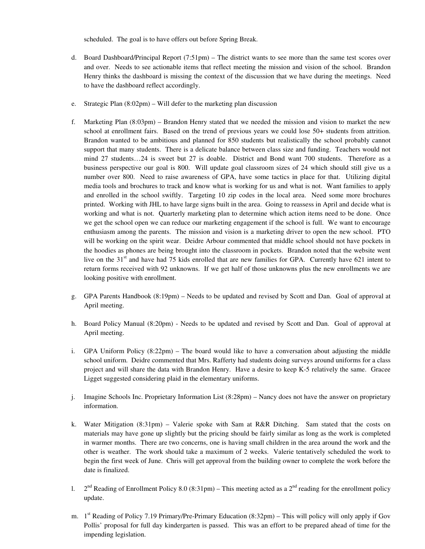scheduled. The goal is to have offers out before Spring Break.

- d. Board Dashboard/Principal Report (7:51pm) The district wants to see more than the same test scores over and over. Needs to see actionable items that reflect meeting the mission and vision of the school. Brandon Henry thinks the dashboard is missing the context of the discussion that we have during the meetings. Need to have the dashboard reflect accordingly.
- e. Strategic Plan (8:02pm) Will defer to the marketing plan discussion
- f. Marketing Plan (8:03pm) Brandon Henry stated that we needed the mission and vision to market the new school at enrollment fairs. Based on the trend of previous years we could lose 50+ students from attrition. Brandon wanted to be ambitious and planned for 850 students but realistically the school probably cannot support that many students. There is a delicate balance between class size and funding. Teachers would not mind 27 students…24 is sweet but 27 is doable. District and Bond want 700 students. Therefore as a business perspective our goal is 800. Will update goal classroom sizes of 24 which should still give us a number over 800. Need to raise awareness of GPA, have some tactics in place for that. Utilizing digital media tools and brochures to track and know what is working for us and what is not. Want families to apply and enrolled in the school swiftly. Targeting 10 zip codes in the local area. Need some more brochures printed. Working with JHL to have large signs built in the area. Going to reassess in April and decide what is working and what is not. Quarterly marketing plan to determine which action items need to be done. Once we get the school open we can reduce our marketing engagement if the school is full. We want to encourage enthusiasm among the parents. The mission and vision is a marketing driver to open the new school. PTO will be working on the spirit wear. Deidre Arbour commented that middle school should not have pockets in the hoodies as phones are being brought into the classroom in pockets. Brandon noted that the website went live on the 31<sup>st</sup> and have had 75 kids enrolled that are new families for GPA. Currently have 621 intent to return forms received with 92 unknowns. If we get half of those unknowns plus the new enrollments we are looking positive with enrollment.
- g. GPA Parents Handbook (8:19pm) Needs to be updated and revised by Scott and Dan. Goal of approval at April meeting.
- h. Board Policy Manual (8:20pm) Needs to be updated and revised by Scott and Dan. Goal of approval at April meeting.
- i. GPA Uniform Policy (8:22pm) The board would like to have a conversation about adjusting the middle school uniform. Deidre commented that Mrs. Rafferty had students doing surveys around uniforms for a class project and will share the data with Brandon Henry. Have a desire to keep K-5 relatively the same. Gracee Ligget suggested considering plaid in the elementary uniforms.
- j. Imagine Schools Inc. Proprietary Information List (8:28pm) Nancy does not have the answer on proprietary information.
- k. Water Mitigation (8:31pm) Valerie spoke with Sam at R&R Ditching. Sam stated that the costs on materials may have gone up slightly but the pricing should be fairly similar as long as the work is completed in warmer months. There are two concerns, one is having small children in the area around the work and the other is weather. The work should take a maximum of 2 weeks. Valerie tentatively scheduled the work to begin the first week of June. Chris will get approval from the building owner to complete the work before the date is finalized.
- l. 2  $2<sup>nd</sup>$  Reading of Enrollment Policy 8.0 (8:31pm) – This meeting acted as a  $2<sup>nd</sup>$  reading for the enrollment policy update.
- m. 1<sup>st</sup> Reading of Policy 7.19 Primary/Pre-Primary Education (8:32pm) This will policy will only apply if Gov Pollis' proposal for full day kindergarten is passed. This was an effort to be prepared ahead of time for the impending legislation.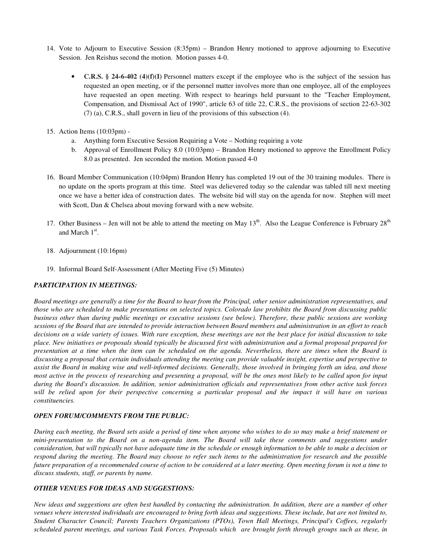- 14. Vote to Adjourn to Executive Session (8:35pm) Brandon Henry motioned to approve adjourning to Executive Session. Jen Reishus second the motion. Motion passes 4-0.
	- **C.R.S. § 24-6-402 (4)(f)(I)** Personnel matters except if the employee who is the subject of the session has requested an open meeting, or if the personnel matter involves more than one employee, all of the employees have requested an open meeting. With respect to hearings held pursuant to the "Teacher Employment, Compensation, and Dismissal Act of 1990", article 63 of title 22, C.R.S., the provisions of section 22-63-302 (7) (a), C.R.S., shall govern in lieu of the provisions of this subsection (4).
- 15. Action Items (10:03pm)
	- a. Anything form Executive Session Requiring a Vote Nothing requiring a vote
	- b. Approval of Enrollment Policy 8.0 (10:03pm) Brandon Henry motioned to approve the Enrollment Policy 8.0 as presented. Jen seconded the motion. Motion passed 4-0
- 16. Board Member Communication (10:04pm) Brandon Henry has completed 19 out of the 30 training modules. There is no update on the sports program at this time. Steel was delievered today so the calendar was tabled till next meeting once we have a better idea of construction dates. The website bid will stay on the agenda for now. Stephen will meet with Scott, Dan & Chelsea about moving forward with a new website.
- 17. Other Business Jen will not be able to attend the meeting on May  $13<sup>th</sup>$ . Also the League Conference is February  $28<sup>th</sup>$ and March  $1<sup>st</sup>$ .
- 18. Adjournment (10:16pm)
- 19. Informal Board Self-Assessment (After Meeting Five (5) Minutes)

#### *PARTICIPATION IN MEETINGS:*

*Board meetings are generally a time for the Board to hear from the Principal, other senior administration representatives, and those who are scheduled to make presentations on selected topics. Colorado law prohibits the Board from discussing public business other than during public meetings or executive sessions (see below). Therefore, these public sessions are working sessions of the Board that are intended to provide interaction between Board members and administration in an effort to reach decisions on a wide variety of issues. With rare exception, these meetings are not the best place for initial discussion to take place. New initiatives or proposals should typically be discussed first with administration and a formal proposal prepared for presentation at a time when the item can be scheduled on the agenda. Nevertheless, there are times when the Board is discussing a proposal that certain individuals attending the meeting can provide valuable insight, expertise and perspective to assist the Board in making wise and well-informed decisions. Generally, those involved in bringing forth an idea, and those most active in the process of researching and presenting a proposal, will be the ones most likely to be called upon for input during the Board's discussion. In addition, senior administration officials and representatives from other active task forces will be relied upon for their perspective concerning a particular proposal and the impact it will have on various constituencies.* 

### *OPEN FORUM/COMMENTS FROM THE PUBLIC:*

*During each meeting, the Board sets aside a period of time when anyone who wishes to do so may make a brief statement or mini-presentation to the Board on a non-agenda item. The Board will take these comments and suggestions under consideration, but will typically not have adequate time in the schedule or enough information to be able to make a decision or respond during the meeting. The Board may choose to refer such items to the administration for research and the possible future preparation of a recommended course of action to be considered at a later meeting. Open meeting forum is not a time to discuss students, staff, or parents by name.* 

#### *OTHER VENUES FOR IDEAS AND SUGGESTIONS:*

*New ideas and suggestions are often best handled by contacting the administration. In addition, there are a number of other venues where interested individuals are encouraged to bring forth ideas and suggestions. These include, but are not limited to, Student Character Council; Parents Teachers Organizations (PTOs), Town Hall Meetings, Principal's Coffees, regularly scheduled parent meetings, and various Task Forces. Proposals which are brought forth through groups such as these, in*